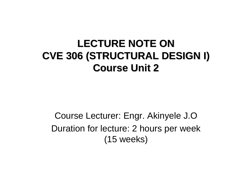#### LECTURE NOTE ON **CVE 306 (STRUCTURAL DESIGN I) CVE 306 (STRUCTURAL DESIGN I) Course Unit 2 Course Unit 2**

Course Lecturer: Engr. Akinyele J.O Duration for lecture: 2 hours per week (15 weeks)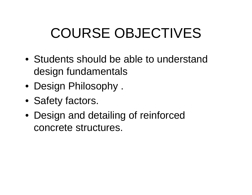## COURSE OBJECTIVES

- Students should be able to understand design fundamentals
- Design Philosophy .
- Safety factors.
- Design and detailing of reinforced concrete structures.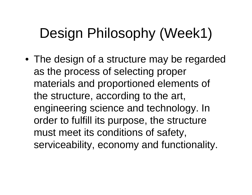## Design Philosophy (Week1)

• The design of a structure may be regarded as the process of selecting proper materials and proportioned elements of the structure, according to the art, engineering science and technology. In order to fulfill its purpose, the structure must meet its conditions of safety, serviceability, economy and functionality.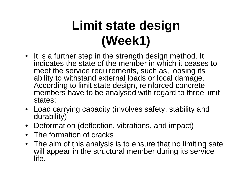#### **Limit state design (Week1)**

- It is a further step in the strength design method. It indicates the state of the member in which it ceases to meet the service requirements, such as, loosing its ability to withstand external loads or local damage. According to limit state design, reinforced concrete members have to be analysed with regard to three limit states:
- Load carrying capacity (involves safety, stability and durability)
- Deformation (deflection, vibrations, and impact)
- The formation of cracks
- The aim of this analysis is to ensure that no limiting sate will appear in the structural member during its service life.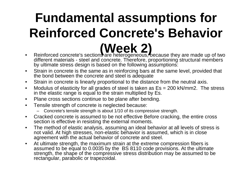# **Fundamental assumptions for Reinforced Concrete's Behavior**

- **EXEMPT 1 PER 2) Reference to a ferrogeneous**, because they are made up of two different materials - steel and concrete. Therefore, proportioning structural members by ultimate stress design is based on the following assumptions:
- $\bullet$  Strain in concrete is the same as in reinforcing bars at the same level, provided that the bond between the concrete and steel is adequate
- •Strain in concrete is linearly proportional to the distance from the neutral axis.
- $\bullet$  Modulus of elasticity for all grades of steel is taken as Es = 200 kN/mm2. The stress in the elastic range is equal to the strain multiplied by Es.
- $\bullet$ Plane cross sections continue to be plane after bending.
- $\bullet$  Tensile strength of concrete is neglected because:
	- Concrete's tensile strength is about 1/10 of its compressive strength.
- $\bullet$  Cracked concrete is assumed to be not effective Before cracking, the entire cross section is effective in resisting the external moments.
- $\bullet$  The method of elastic analysis, assuming an ideal behavior at all levels of stress is not valid. At high stresses, non-elastic behavior is assumed, which is in close agreement with the actual behavior of concrete and steel.
- $\bullet$  At ultimate strength, the maximum strain at the extreme compression fibers is assumed to be equal to 0.0035 by the BS 8110 code provisions. At the ultimate strength, the shape of the compressive stress distribution may be assumed to be rectangular, parabolic or trapezoidal.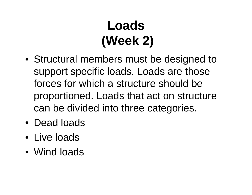## **Loads(Week 2)**

- Structural members must be designed to support specific loads. Loads are those forces for which a structure should be proportioned. Loads that act on structure can be divided into three categories.
- Dead loads
- Live loads
- Wind loads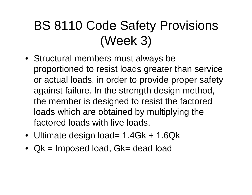#### BS 8110 Code Safety Provisions (Week 3)

- Structural members must always be proportioned to resist loads greater than service or actual loads, in order to provide proper safety against failure. In the strength design method, the member is designed to resist the factored loads which are obtained by multiplying the factored loads with live loads.
- Ultimate design load= 1.4Gk + 1.6Qk
- Qk = Imposed load, Gk= dead load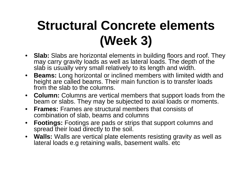#### **Structural Concrete elements (Week 3)**

- **Slab:** Slabs are horizontal elements in building floors and roof. They may carry gravity loads as well as lateral loads. The depth of the slab is usually very small relatively to its length and width.
- $\bullet$  **Beams:** Long horizontal or inclined members with limited width and height are called beams. Their main function is to transfer loads from the slab to the columns.
- **Column:** Columns are vertical members that support loads from the beam or slabs. They may be subjected to axial loads or moments.
- $\bullet$  **Frames:** Frames are structural members that consists of combination of slab, beams and columns
- $\bullet$  **Footings:** Footings are pads or strips that support columns and spread their load directly to the soil.
- **Walls:** Walls are vertical plate elements resisting gravity as well as lateral loads e.g retaining walls, basement walls. etc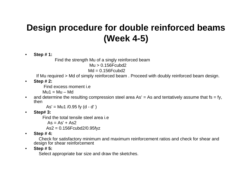#### **Design procedure for double reinforced beams (Week 4-5)**

•**Step # 1:** 

Find the strength Mu of a singly reinforced beam

 $Mu > 0.156$ Fcubd2

 $Md = 0.156$ Fcubd2

If Mu required > Md of simply reinforced beam . Proceed with doubly reinforced beam design.

•**Step # 2:**

Find excess moment i.e

 $Mu1 = Mu - Md$ 

 $\bullet$ and determine the resulting compression steel area  $\text{As'} = \text{As}$  and tentatively assume that fs = fy, then

 $As' = Mu1 / 0.95$  fy  $(d - d')$ 

•**Step# 3:**

Find the total tensile steel area i.e

 $As = As' + As2$ 

As2 = 0.156Fcubd2/0.95fyz

•**Step # 4:**

Check for satisfactory minimum and maximum reinforcement ratios and check for shear and design for shear reinforcement

•**Step # 5:**

Select appropriate bar size and draw the sketches.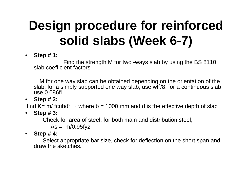## **Design procedure for reinforced solid slabs (Week 6-7)**

 $\bullet$ **Step # 1:** 

Find the strength M for two -ways slab by using the BS 8110 slab coefficient factors

M for one way slab can be obtained depending on the orientation of the slab, for a simply supported one way slab, use wl 2/8. for a continuous slab use 0.086fl.

• **Step # 2:**

find K= m/ fcubd<sup>2</sup> , where b = 1000 mm and d is the effective depth of slab

 $\bullet$ **Step # 3:**

Check for area of steel, for both main and distribution steel,

 $As = m/0.95$ fyz

• **Step # 4:**

Select appropriate bar size, check for deflection on the short span and draw the sketches.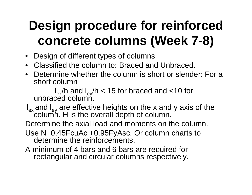#### **Design procedure for reinforced concrete columns (Week 7-8)**

- Design of different types of columns
- Classified the column to: Braced and Unbraced.
- Determine whether the column is short or slender: For a short column

 $I_{ex}/h$  and  $I_{ey}/h < 15$  for braced and <10 for unbraced column.

l<sub>ex</sub> and l<sub>ey</sub> are effective heights on the x and y axis of the column. H is the overall depth of column.

Determine the axial load and moments on the column.

- Use N=0.45FcuAc +0.95FyAsc. Or column charts to determine the reinforcements.
- A minimum of 4 bars and 6 bars are required for rectangular and circular columns respectively.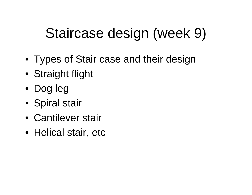## Staircase design (week 9)

- Types of Stair case and their design
- Straight flight
- Dog leg
- Spiral stair
- Cantilever stair
- Helical stair, etc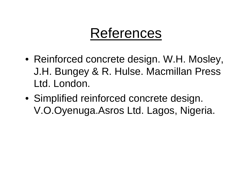#### References

- Reinforced concrete design. W.H. Mosley, J.H. Bungey & R. Hulse. Macmillan Press Ltd. London.
- Simplified reinforced concrete design. V.O.Oyenuga.Asros Ltd. Lagos, Nigeria.